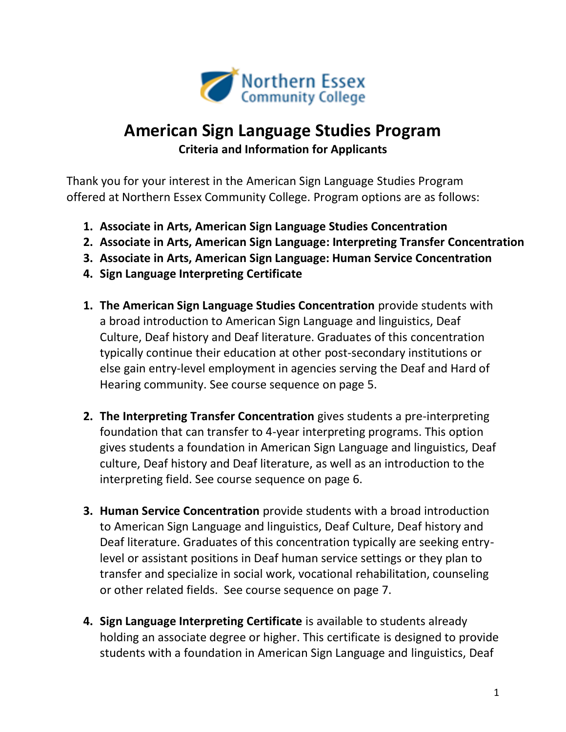

## **American Sign Language Studies Program Criteria and Information for Applicants**

Thank you for your interest in the American Sign Language Studies Program offered at Northern Essex Community College. Program options are as follows:

- **1. Associate in Arts, American Sign Language Studies Concentration**
- **2. Associate in Arts, American Sign Language: Interpreting Transfer Concentration**
- **3. Associate in Arts, American Sign Language: Human Service Concentration**
- **4. Sign Language Interpreting Certificate**
- **1. The American Sign Language Studies Concentration** provide students with a broad introduction to American Sign Language and linguistics, Deaf Culture, Deaf history and Deaf literature. Graduates of this concentration typically continue their education at other post-secondary institutions or else gain entry-level employment in agencies serving the Deaf and Hard of Hearing community. See course sequence on page 5.
- **2. The Interpreting Transfer Concentration** gives students a pre-interpreting foundation that can transfer to 4-year interpreting programs. This option gives students a foundation in American Sign Language and linguistics, Deaf culture, Deaf history and Deaf literature, as well as an introduction to the interpreting field. See course sequence on page 6.
- **3. Human Service Concentration** provide students with a broad introduction to American Sign Language and linguistics, Deaf Culture, Deaf history and Deaf literature. Graduates of this concentration typically are seeking entrylevel or assistant positions in Deaf human service settings or they plan to transfer and specialize in social work, vocational rehabilitation, counseling or other related fields. See course sequence on page 7.
- **4. Sign Language Interpreting Certificate** is available to students already holding an associate degree or higher. This certificate is designed to provide students with a foundation in American Sign Language and linguistics, Deaf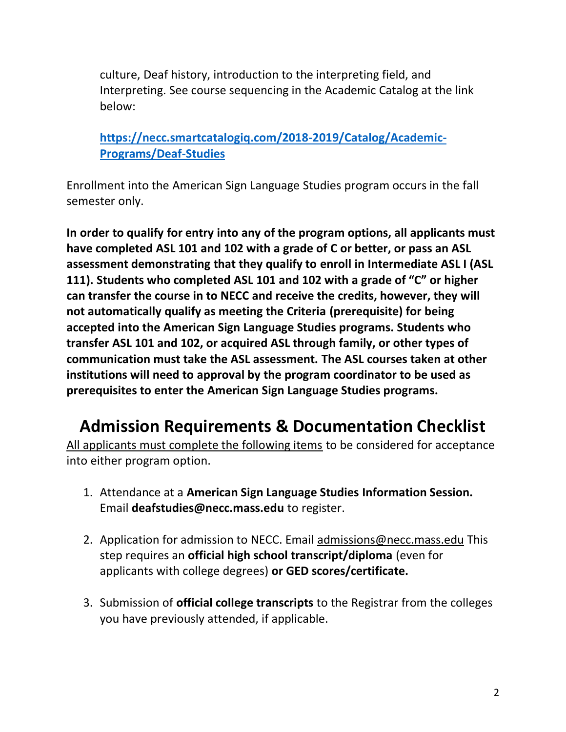culture, Deaf history, introduction to the interpreting field, and Interpreting. See course sequencing in the Academic Catalog at the link below:

**[https://necc.smartcatalogiq.com/2018-2019/Catalog/Academic-](https://necc.smartcatalogiq.com/2018-2019/Catalog/Academic-Programs/Deaf-Studies)[Programs/Deaf-Studies](https://necc.smartcatalogiq.com/2018-2019/Catalog/Academic-Programs/Deaf-Studies)**

Enrollment into the American Sign Language Studies program occurs in the fall semester only.

**In order to qualify for entry into any of the program options, all applicants must have completed ASL 101 and 102 with a grade of C or better, or pass an ASL assessment demonstrating that they qualify to enroll in Intermediate ASL I (ASL 111). Students who completed ASL 101 and 102 with a grade of "C" or higher can transfer the course in to NECC and receive the credits, however, they will not automatically qualify as meeting the Criteria (prerequisite) for being accepted into the American Sign Language Studies programs. Students who transfer ASL 101 and 102, or acquired ASL through family, or other types of communication must take the ASL assessment. The ASL courses taken at other institutions will need to approval by the program coordinator to be used as prerequisites to enter the American Sign Language Studies programs.**

## **Admission Requirements & Documentation Checklist**

All applicants must complete the following items to be considered for acceptance into either program option.

- 1. Attendance at a **American Sign Language Studies Information Session.** Email **deafstudies@necc.mass.edu** to register.
- 2. Application for admission to NECC. Email admissions@necc.mass.edu This step requires an **official high school transcript/diploma** (even for applicants with college degrees) **or GED scores/certificate.**
- 3. Submission of **official college transcripts** to the Registrar from the colleges you have previously attended, if applicable.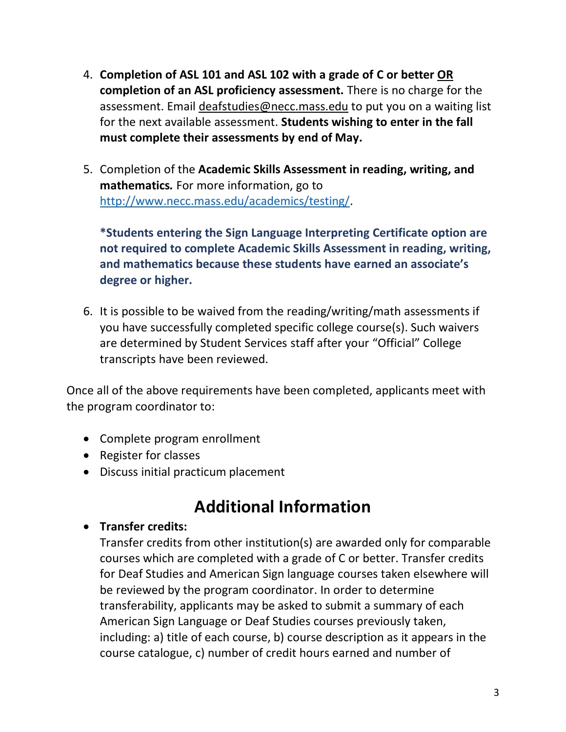- 4. **Completion of ASL 101 and ASL 102 with a grade of C or better OR completion of an ASL proficiency assessment.** There is no charge for the assessment. Email deafstudies@necc.mass.edu to put you on a waiting list for the next available assessment. **Students wishing to enter in the fall must complete their assessments by end of May.**
- 5. Completion of the **Academic Skills Assessment in reading, writing, and mathematics***.* For more information, go to [http://www.necc.mass.edu/academics/testing/.](http://www.necc.mass.edu/academics/testing/)

**\*Students entering the Sign Language Interpreting Certificate option are not required to complete Academic Skills Assessment in reading, writing, and mathematics because these students have earned an associate's degree or higher.** 

6. It is possible to be waived from the reading/writing/math assessments if you have successfully completed specific college course(s). Such waivers are determined by Student Services staff after your "Official" College transcripts have been reviewed.

Once all of the above requirements have been completed, applicants meet with the program coordinator to:

- Complete program enrollment
- Register for classes
- Discuss initial practicum placement

# **Additional Information**

## • **Transfer credits:**

Transfer credits from other institution(s) are awarded only for comparable courses which are completed with a grade of C or better. Transfer credits for Deaf Studies and American Sign language courses taken elsewhere will be reviewed by the program coordinator. In order to determine transferability, applicants may be asked to submit a summary of each American Sign Language or Deaf Studies courses previously taken, including: a) title of each course, b) course description as it appears in the course catalogue, c) number of credit hours earned and number of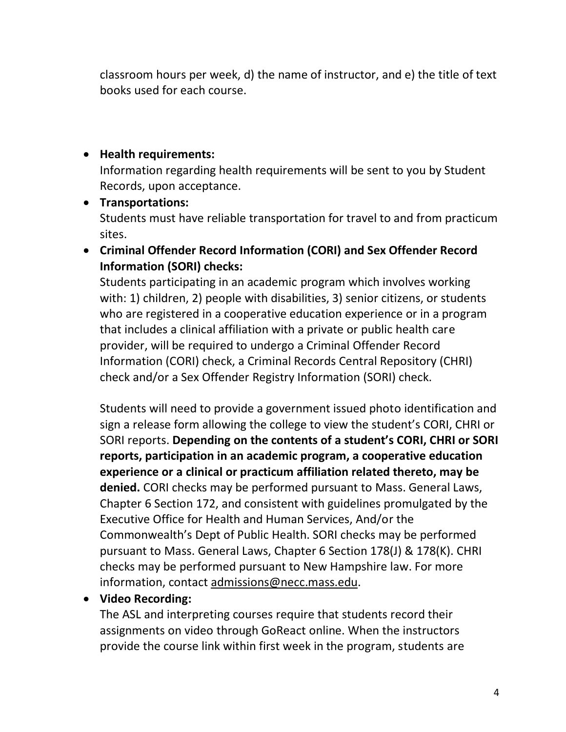classroom hours per week, d) the name of instructor, and e) the title of text books used for each course.

### • **Health requirements:**

Information regarding health requirements will be sent to you by Student Records, upon acceptance.

## • **Transportations:** Students must have reliable transportation for travel to and from practicum sites.

• **Criminal Offender Record Information (CORI) and Sex Offender Record Information (SORI) checks:**

Students participating in an academic program which involves working with: 1) children, 2) people with disabilities, 3) senior citizens, or students who are registered in a cooperative education experience or in a program that includes a clinical affiliation with a private or public health care provider, will be required to undergo a Criminal Offender Record Information (CORI) check, a Criminal Records Central Repository (CHRI) check and/or a Sex Offender Registry Information (SORI) check.

Students will need to provide a government issued photo identification and sign a release form allowing the college to view the student's CORI, CHRI or SORI reports. **Depending on the contents of a student's CORI, CHRI or SORI reports, participation in an academic program, a cooperative education experience or a clinical or practicum affiliation related thereto, may be denied.** CORI checks may be performed pursuant to Mass. General Laws, Chapter 6 Section 172, and consistent with guidelines promulgated by the Executive Office for Health and Human Services, And/or the Commonwealth's Dept of Public Health. SORI checks may be performed pursuant to Mass. General Laws, Chapter 6 Section 178(J) & 178(K). CHRI checks may be performed pursuant to New Hampshire law. For more information, contact admissions@necc.mass.edu.

## • **Video Recording:**

The ASL and interpreting courses require that students record their assignments on video through GoReact online. When the instructors provide the course link within first week in the program, students are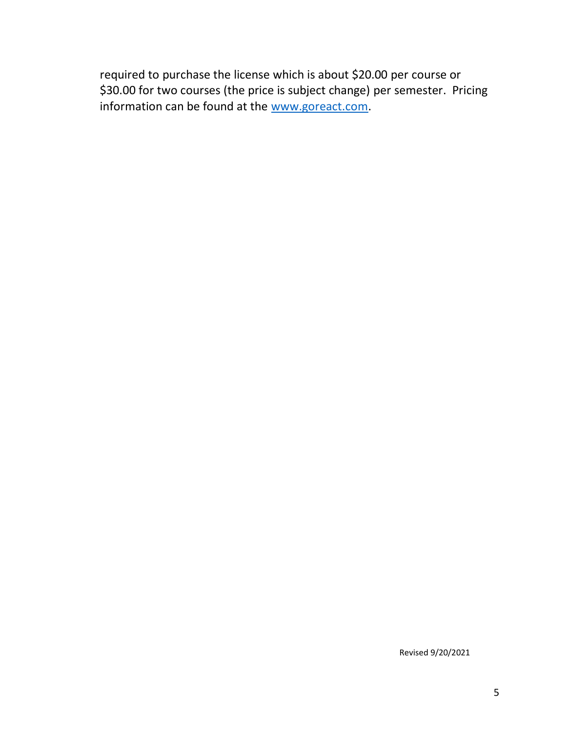required to purchase the license which is about \$20.00 per course or \$30.00 for two courses (the price is subject change) per semester. Pricing information can be found at the [www.goreact.com.](http://www.goreact.com/)

Revised 9/20/2021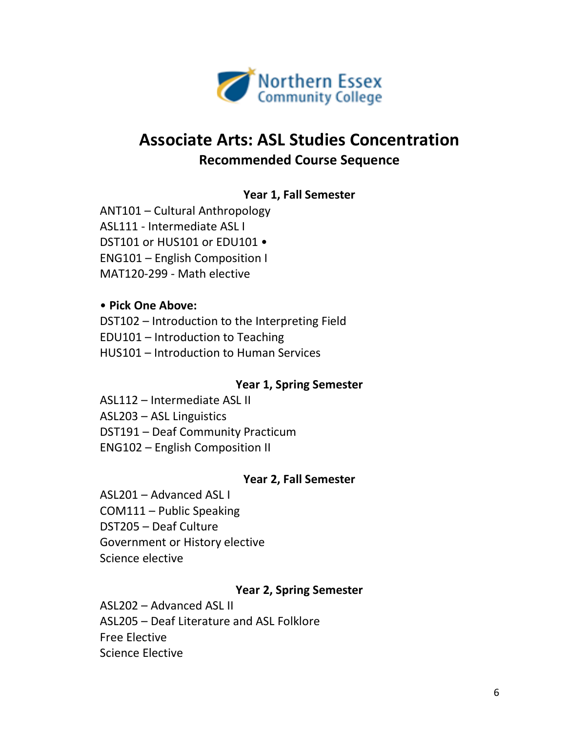

## **Associate Arts: ASL Studies Concentration Recommended Course Sequence**

## **Year 1, Fall Semester**

ANT101 – Cultural Anthropology ASL111 - Intermediate ASL I DST101 or HUS101 or EDU101 • ENG101 – English Composition I MAT120-299 - Math elective

#### • **Pick One Above:**

DST102 – Introduction to the Interpreting Field EDU101 – Introduction to Teaching HUS101 – Introduction to Human Services

#### **Year 1, Spring Semester**

ASL112 – Intermediate ASL II ASL203 – ASL Linguistics DST191 – Deaf Community Practicum ENG102 – English Composition II

#### **Year 2, Fall Semester**

ASL201 – Advanced ASL I COM111 – Public Speaking DST205 – Deaf Culture Government or History elective Science elective

## **Year 2, Spring Semester**

ASL202 – Advanced ASL II ASL205 – Deaf Literature and ASL Folklore Free Elective Science Elective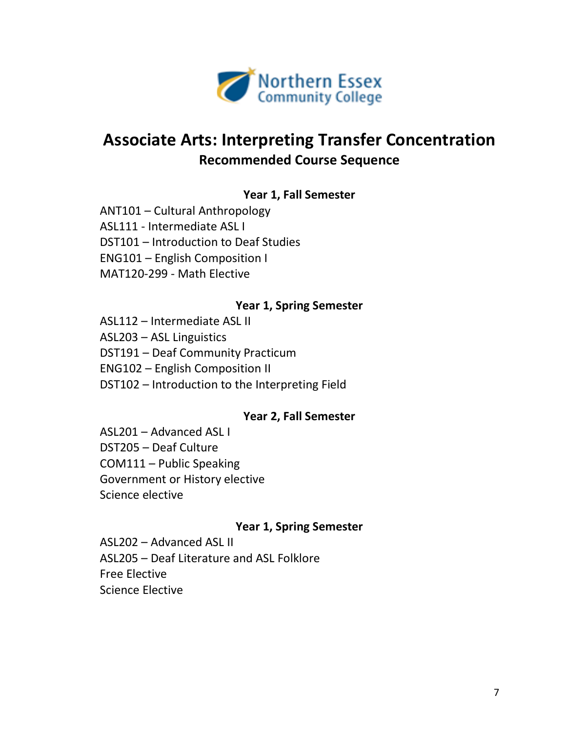

## **Associate Arts: Interpreting Transfer Concentration Recommended Course Sequence**

### **Year 1, Fall Semester**

ANT101 – Cultural Anthropology ASL111 - Intermediate ASL I DST101 – Introduction to Deaf Studies ENG101 – English Composition I MAT120-299 - Math Elective

#### **Year 1, Spring Semester**

ASL112 – Intermediate ASL II ASL203 – ASL Linguistics DST191 – Deaf Community Practicum ENG102 – English Composition II DST102 – Introduction to the Interpreting Field

#### **Year 2, Fall Semester**

ASL201 – Advanced ASL I DST205 – Deaf Culture COM111 – Public Speaking Government or History elective Science elective

#### **Year 1, Spring Semester**

ASL202 – Advanced ASL II ASL205 – Deaf Literature and ASL Folklore Free Elective Science Elective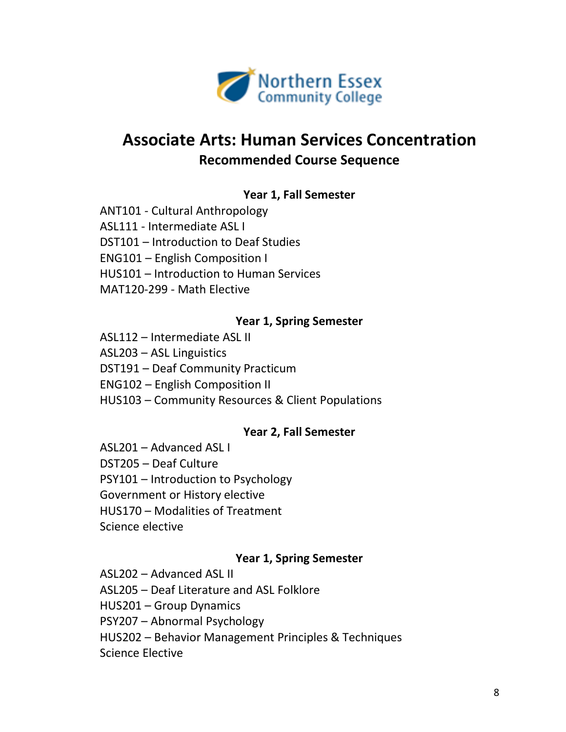

## **Associate Arts: Human Services Concentration Recommended Course Sequence**

### **Year 1, Fall Semester**

ANT101 - Cultural Anthropology ASL111 - Intermediate ASL I DST101 – Introduction to Deaf Studies ENG101 – English Composition I HUS101 – Introduction to Human Services MAT120-299 - Math Elective

#### **Year 1, Spring Semester**

ASL112 – Intermediate ASL II ASL203 – ASL Linguistics DST191 – Deaf Community Practicum ENG102 – English Composition II HUS103 – Community Resources & Client Populations

#### **Year 2, Fall Semester**

ASL201 – Advanced ASL I DST205 – Deaf Culture PSY101 – Introduction to Psychology Government or History elective HUS170 – Modalities of Treatment Science elective

#### **Year 1, Spring Semester**

ASL202 – Advanced ASL II ASL205 – Deaf Literature and ASL Folklore HUS201 – Group Dynamics PSY207 – Abnormal Psychology HUS202 – Behavior Management Principles & Techniques Science Elective